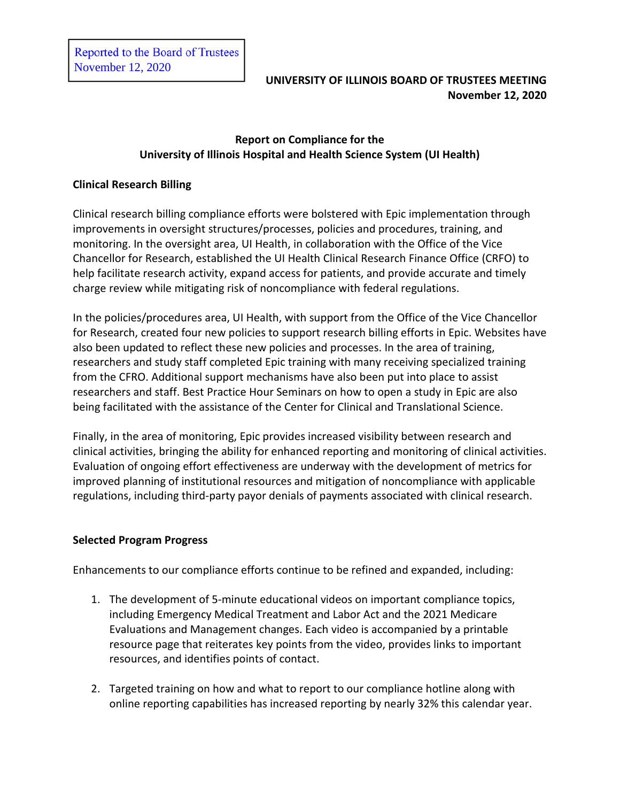## **Report on Compliance for the University of Illinois Hospital and Health Science System (UI Health)**

## **Clinical Research Billing**

Clinical research billing compliance efforts were bolstered with Epic implementation through improvements in oversight structures/processes, policies and procedures, training, and monitoring. In the oversight area, UI Health, in collaboration with the Office of the Vice Chancellor for Research, established the UI Health Clinical Research Finance Office (CRFO) to help facilitate research activity, expand access for patients, and provide accurate and timely charge review while mitigating risk of noncompliance with federal regulations.

In the policies/procedures area, UI Health, with support from the Office of the Vice Chancellor for Research, created four new policies to support research billing efforts in Epic. Websites have also been updated to reflect these new policies and processes. In the area of training, researchers and study staff completed Epic training with many receiving specialized training from the CFRO. Additional support mechanisms have also been put into place to assist researchers and staff. Best Practice Hour Seminars on how to open a study in Epic are also being facilitated with the assistance of the Center for Clinical and Translational Science.

Finally, in the area of monitoring, Epic provides increased visibility between research and clinical activities, bringing the ability for enhanced reporting and monitoring of clinical activities. Evaluation of ongoing effort effectiveness are underway with the development of metrics for improved planning of institutional resources and mitigation of noncompliance with applicable regulations, including third-party payor denials of payments associated with clinical research.

## **Selected Program Progress**

Enhancements to our compliance efforts continue to be refined and expanded, including:

- 1. The development of 5-minute educational videos on important compliance topics, including Emergency Medical Treatment and Labor Act and the 2021 Medicare Evaluations and Management changes. Each video is accompanied by a printable resource page that reiterates key points from the video, provides links to important resources, and identifies points of contact.
- 2. Targeted training on how and what to report to our compliance hotline along with online reporting capabilities has increased reporting by nearly 32% this calendar year.